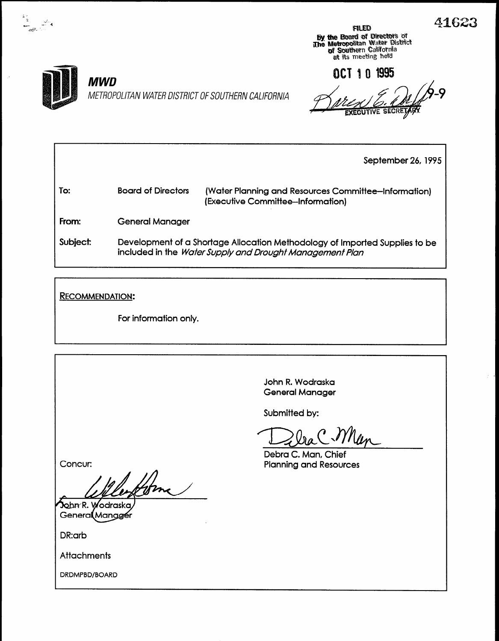**By the Board of Directors of<br>The Metropolitan Water District<br>Of Southern California<br>at its meeting held**  $\mathbb{R}^2$ 

OCT 1 0 1995

 $\frac{1}{2}$   $\frac{1}{2}$   $\frac{1}{2}$   $\frac{1}{2}$   $\frac{1}{2}$ - -4

### MWD

METROPOLITAN WATER DISTRICT OF SOUTHERN CALIFORNIA  $\mathscr{B}_{\mathcal{A}}$ 

September 26, 1995

To: Board of Directors (Water Planning and Resources Committee-Information) (Executive Committee-Information) From: Subject: General Manager Development of a Shortage Allocation Methodology of Imported Supplies to be included in the Wafer Supply and Drought Management Plan

RECOMMENDATION:

For information only.

John R. Wodraska General Manager

Submitted by:

'''Uw  $\frac{1}{\sqrt{2}}$ 

 $P$ eoru $C$ , Mun, Crien

Concur:

**John R. Wodraska<br>General Manazei** 

DR:arb

**Attachments** 

DRDMPBD/BOARD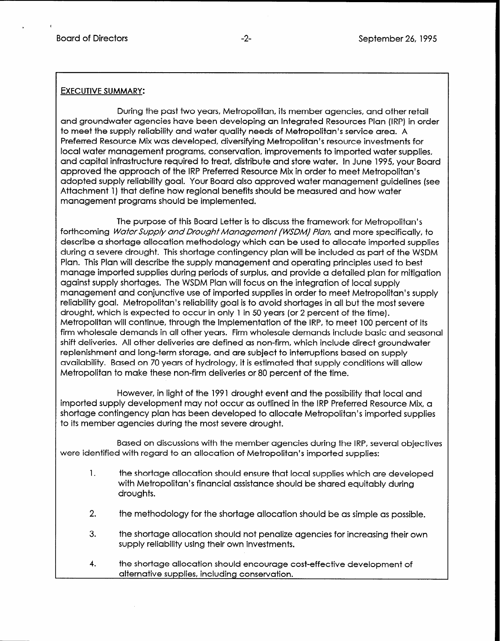I

#### EXECUTIVE SUMMARY:

During the past two years, Metropolitan, its member agencies, and other retail and groundwater agencies have been developing an Integrated Resources Plan (IRP) in order to meet the supply reliability and water quality needs of Metropolitan's service area. A Preferred Resource Mix was developed, diversifying Metropolitan's resource investments for local water management programs, conservation, improvements to imported water supplies, and capital infrastructure required to treat, distribute and store water. In June 1995, your Board approved the approach of the IRP Preferred Resource Mix in order to meet Metropolitan's adopted supply reliability goal. Your Board also approved water management guidelines (see Attachment 1) that define how regional benefits should be measured and how water management programs should be implemented.

The purpose of this Board Letter is to discuss the framework for Metropolitan's forthcoming Water Supply and Drought Management (WSDM) Plan, and more specifically, to describe a shortage allocation methodology which can be used to allocate imported supplies during a severe drought. This shortage contingency plan will be included as part of the WSDM Plan. This Plan will describe the supply management and operating principles used to best manage imported supplies during periods of surplus, and provide a detailed plan for mitigation against supply shortages. The WSDM Plan will focus on the integration of local supply management and conjunctive use of imported supplies in order to meet Metropolitan's supply reliability goal. Metropolitan's reliability goal is to avoid shortages in all but the most severe drought, which is expected to occur in only 1 in 50 years (or 2 percent of the time). Metropolitan will continue, through the implementation of the IRP, to meet 100 percent of its firm wholesale demands in all other years. Firm wholesale demands include basic and seasonal shift deliveries. All other deliveries are defined as non-firm, which include direct groundwater replenishment and long-term storage, and are subject to interruptions based on supply availability. Based on 70 years of hydrology, it is estimated that supply conditions will allow Metropolitan to make these non-firm deliveries or 80 percent of the time.

However, in light of the 1991 drought event and the possibility that local and imported supply development may not occur as outlined in the IRP Preferred Resource Mix, a shortage contingency plan has been developed to allocate Metropolitan's imported supplies to its member agencies during the most severe drought.

Based on discussions with the member agencies during the IRP, several objectives were identified with regard to an allocation of Metropolitan's imported supplies:

- 1. the shortage allocation should ensure that local supplies which are developed with Metropolitan's financial assistance should be shared equitably during droughts.
- 2. the methodology for the shortage allocation should be as simple as possible.
- 3. the shortage allocation should not penalize agencies for increasing their own supply reliability using their own investments.
- 4. the shortage allocation should encourage cost-effective development of alternative supplies, including conservation.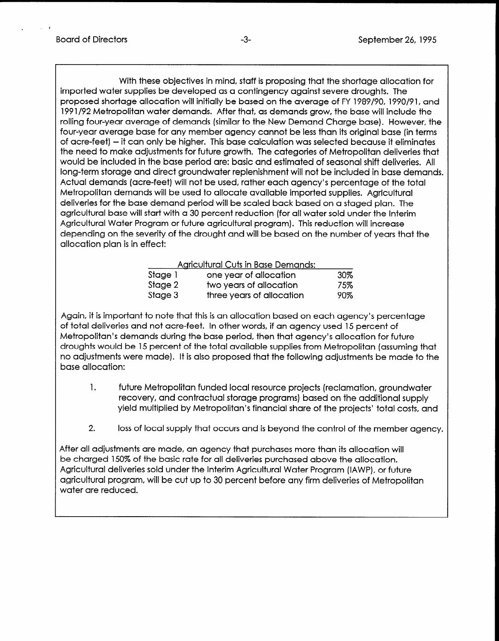,

With these objectives in mind, staff is proposing that the shortage allocation for imported water supplies be developed as a contingency against severe droughts. The proposed shortage allocation will initially be based on the average of FY 1989/90, 1990/91, and 1991/92 Metropolitan water demands. After that, as demands grow, the base will include the rolling four-year average of demands (similar to the New Demand Charge base). However, the four-year average base for any member agency cannot be less than its original base (in terms of acre-feet) - it can only be higher. This base calculation was selected because it eliminates the need to make adjustments for future growth. The categories of Metropolitan deliveries that would be included in the base period are: basic and estimated of seasonal shift deliveries. All long-term storage and direct groundwater replenishment will not be included in base demands. Actual demands (acre-feet) will not be used, rather each agency's percentage of the total Metropolitan demands will be used to allocate available imported supplies. Agricultural deliveries for the base demand period will be scaled back based on a staged plan. The agricultural base will start with a 30 percent reduction (for all water sold under the Interim Agricultural Water Program or future agricultural program). This reduction will increase depending on the severity of the drought and will be based on the number of years that the allocation plan is in effect:

| <b>Agricultural Cuts in Base Demands:</b> |                           |     |
|-------------------------------------------|---------------------------|-----|
| Stage 1                                   | one year of allocation    | 30% |
| Stage 2                                   | two years of allocation   | 75% |
| Stage 3                                   | three years of allocation | 90% |

Again, it is important to note that this is an allocation based on each agency's percentage of total deliveries and not acre-feet. In other words, if an agency used 15 percent of Metropolitan's demands during the base period, then that agency's allocation for future monopolitan s admitias admights base period, incrimar agency supplementor force aroogins woold be to percent of the fold available supplies in this were pointed (assorting that no adjustments were made). It is also proposed that the following adjustments be made to the base allocation:

- 1. future Metropolitan funded local resource projects (reclamation, groundwater recovery, and contractual storage progressive programship in the additional supply in the additional supply in recovery, and contractual storage programs) based on the additional supply<br>yield multiplied by Metropolitan's financial share of the projects' total costs, and
- 2. loss of local supply that occurs and is beyond the control of the member agency.

After all adjustments are made, an agency that purchases more than its allocation will be charged 150% of the basic rate for all deliveries purchased above the allocation. be charged 150% of the basic rate for all deliveries purchased above the allocation. Agricultural deliveries sold under the Interim Agricultural Water Program (IAWP), or future agricultural program, will be cut up to 30 percent before any firm deliveries of Metropolitan<br>water are reduced.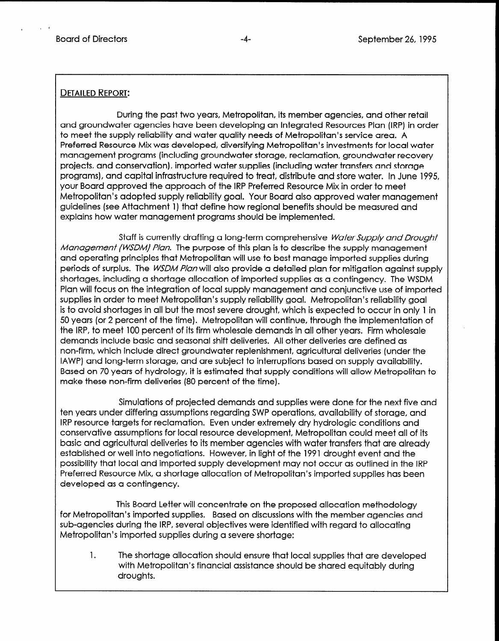. .

#### DETAILED REPORT:

During the past two years, Metropolitan, its member agencies, and other retail and groundwater agencies have been developing an integrated Resources Plan (IRP) in order to meet the supply reliability and water quality needs of Metropolitan's service area. A Preferred Resource Mix was developed, diversifying Metropolitan's investments for local water management programs (including groundwater storage, reclamation, groundwater recovery projects, and conservation), imported water supplies (including water transfers and storage programs), and capital infrastructure required to treat, distribute and, store water. In June 1995, your Board approved the approach of the IRP Preferred Resource Mix in order to meet Metropolitan's adopted supply reliability goal. Your Board also approved water management guidelines (see Attachment 1) that define how regional benefits should be measured and explains how water management programs should be implemented.

Staff is currently drafting a long-term comprehensive Water Supply and Drought Management (WSDM) Plan. The purpose of this plan is to describe the supply management and operating principles that Metropolitan will use to best manage imported supplies during periods of surplus. The WSDM Plan will also provide a detailed plan for mitigation against supply shortages, including a shortage allocation of imported supplies as a contingency. The WSDM Plan will focus on the integration of local supply management and conjunctive use of imported supplies in order to meet Metropolitan's supply reliability goal. Metropolitan's reliability goal is to avoid shortages in all but the most severe drought, which is expected to occur in only 1 in 50 years (or 2 percent of the time). Metropolitan will continue, through the implementation of the IRP, to meet 100 percent of its firm wholesale demands in all other years. Firm wholesale demands include basic and seasonal shift deliveries. All other deliveries are defined as non-firm, which include direct groundwater replenishment, agricultural deliveries (under the IAWP) and long-term storage, and are subject to interruptions based on supply availability. Based on 70 years of hydrology, it is estimated that supply conditions will allow Metropolitan to make these non-firm deliveries (80 percent of the time).

Simulations of projected demands and supplies were done for the next five and ten years under differential assumptions of support of support of support of support  $\alpha$ IRP recis once tainering assumptions regarding syn "operations, availability of storage, an IRP resource targets for reclamation. Even under extremely dry hydrologic conditions and conservative assumptions for local resource development, Metropolitan could meet all of its basic and agricultural deliveries to its member agencies with water transfers that are already established or well into negotiations. However, in light of the 1991 drought event and the possibility that local and imported supply development may not occur as outlined in the IRP Preferred Resource Mix, a shortage allocation of Metropolitan's imported supplies has been developed as a contingency.

This Board Letter will concentrate on the proposed allocation methodology for Metropolitan's imported supplies. Based on discussions with the member agencies and sub-agencies during the IRP, several objectives were identified with regard to allocating<br>Metropolitan's imported supplies during a severe shortage:

 $1.$ The shortage allocation should ensure that local supplies that are developed with Metropolitan's financial assistance should be shared equitably during droughts.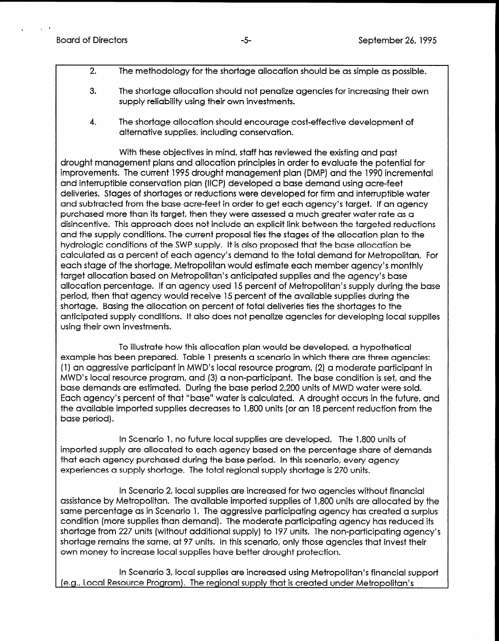I '

- 2. The methodology for the shortage allocation should be as simple as possible.
- 3. The shortage allocation should not penalize agencies for increasing their own supply reliability using their own investments.
- 4. The shortage allocation should encourage cost-effective development of alternative supplies, including conservation.

With these objectives in mind, staff has reviewed the existing and past drought management plans and allocation principles in order to evaluate the potential for improvements. The current 1995 drought management plan (DMP) and the 1990 incremental and interruptible conservation plan (IICP) developed a base demand using acre-feet deliveries. Stages of shortages or reductions were developed for firm and interruptible water and subtracted from the base acre-feet in order to get each agency's target. If an agency purchased more than its target, then they were assessed a much greater water rate as a disincentive. This approach does not include an explicit link between the targeted reductions and the supply conditions. The current proposal ties the stages of the allocation plan to the hydrologic conditions of the SWP supply. It is also proposed that the base allocation be calculated as a percent of each agency's demand to the total demand for Metropolitan. For each stage of the shortage, Metropolitan would estimate each member agency's monthly target allocation based on Metropolitan's anticipated supplies and the agency's base allocation percentage. If an agency used 15 percent of Metropolitan's supply during the base period, then that agency would receive 15 percent of the available supplies during the shortage. Basing the allocation on percent of total deliveries ties the shortages to the anticipated supply conditions. It also does not penalize agencies for developing local supplies using their own investments.

To illustrate how this allocation plan would be developed, a hypothetical example has been prepared. Table 1 presents a scenario in which there are three agencies: ordin program, and aggressive program, construction in Magnetic participant in Music participant in Music participant in Music participant in Music participant in Music participant in Music participant in Music participant  $\frac{1}{100}$  and  $\frac{1}{20}$  connection in internet to base condition is set of an induction is set of an internet condition is set of an internet condition is set of an internet condition is set of an internet condition is MWD's local resource program, and (3) a non-participant. The base condition is set, and the base demands are estimated. During the base period 2,200 units of MWD water were sold. Each agency's percent of that "base" water is calculated. A drought occurs in the future, and the available imported supplies to 1,800 units and 1,800 units (or an 18 percent reduction from the 1910 up to  $\frac{1}{2}$ 

In Scenario 1, no future local supplies are developed. The 1,800 units of importance in bound to the local supplies are aeveloped. The 1,000 onlis of imported supply are allocated to each agency based on the percentage share of demands that each agency purchased during the base period. In this scenario, every agency experiences a supply shortage. The total regional supply shortage is 270 units.

in Scendrio 2, local supplies are increased for two agencies without financial assistance by Metropolitan. The available imported supplies of 1,800 units are allocated by the same percentage as in Scenario 1. The aggressive participating agency has created a surplus condition (more supplies than demand). The moderate participating agency has reduced its shortage from 227 units (without additional supply) to 197 units. The non-participating agency's shortage remains the same, at 97 units. In this scenario, only those agencies that invest their<br>own money to increase local supplies have better drought protection.

In Scenario 3, local supplies are increased using Metropolitan's financial support (e.g., Local Resource Program). The regional supply that is created under Metropolitan's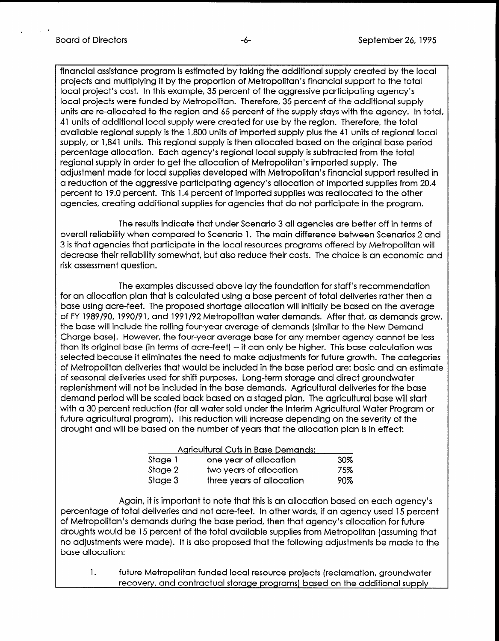. 5 c

financial assistance program is estimated by taking the additional supply created by the local projects and multiplying it by the proportion of Metropolitan's financial support to the total local project's cost. In this example, 35 percent of the aggressive participating agency's local projects were funded by Metropolitan. Therefore, 35 percent of the additional supply units are re-allocated to the region and 65 percent of the supply stays with the agency. In total, 41 units of additional local supply were created for use by the region. Therefore, the total available regional supply is the 1,800 units of imported supply plus the 41 units of regional local supply, or 1,841 units. This regional supply is then allocated based on the original base period percentage allocation. Each agency's regional local supply is subtracted from the total regional supply in order to get the allocation of Metropolitan's imported supply. The adjustment made for local supplies developed with Metropolitan's financial support resulted in a reduction of the aggressive participating agency's allocation of imported supplies from 20.4 percent to 19.0 percent. This 1.4 percent of imported supplies was reallocated to the other agencies, creating additional supplies for agencies that do not participate in the program.

The results indicate that under Scenario 3 all agencies are better off in terms of overall reliability when compared to Scenario 1. The main difference between Scenarios 2 and 3 is that agencies that participate in the local resources programs offered by Metropolitan will decrease their reliability somewhat, but also reduce their costs. The choice is an economic and risk assessment question.

The examples discussed above lay the foundation for staff's recommendation for an allocation plan that is calculated using a base percent of total deliveries rather then a base using acre-feet. The proposed shortage allocation will initially be based on the average of FY 1989/90, 1990/91, and 1991/92 Metropolitan water demands. After that, as demands grow, the base will include the rolling four-year average of demands (similar to the New Demand Charge base). However, the four-year average base for any member agency cannot be less than its original base (in terms of acre-feet) -- it can only be higher. This base calculation was selected because it eliminates the need to make adjustments for future growth. The categories of Metropolitan deliveries that would be included in the base period are: basic and an estimate of seasonal deliveries used for shift purposes. Long-term storage and direct groundwater replenishment will not be included in the base demands. Agricultural deliveries for the base demand period will be scaled by scaled based on a stage plane and starting for the base werther to perfort with be soldied black based on a staged plant. The agricultural base with start with a 30 percent reduction (for all water sold under the Interim Agricultural Water Program or future agricultural program). This reduction will increase depending on the severity of the<br>drought and will be based on the number of years that the allocation plan is in effect:

| <b>Agricultural Cuts in Base Demands:</b> |                           |     |  |
|-------------------------------------------|---------------------------|-----|--|
| Stage 1                                   | one year of allocation    | 30% |  |
| Stage 2                                   | two years of allocation   | 75% |  |
| Stage 3                                   | three years of allocation | 90% |  |

 $A_{\rm eff}$  is introduced on each this is an allocation based on each agency  $\alpha$ Again, ii is important to hote that this is an allocation based on each agency's percentage of total deliveries and not acre-feet. In other words, if an agency used 15 percent of Metropolitan's demands during the base period, then that agency's allocation for future droughts would be 15 percent of the total available supplies from Metropolitan (assuming that no adjustments were made). It is also proposed that the following adjustments be made to the base allocation:

future Metropolitan funded local resource projects (reclamation, groundwater recovery, and contractual storage programs) based on the additional supply  $1.$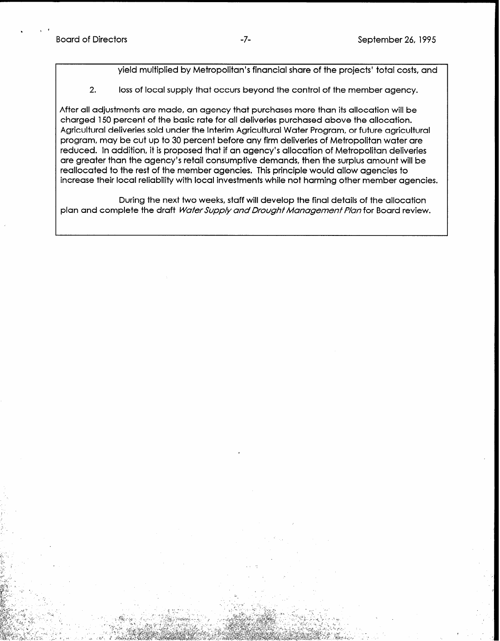. I r

yield multiplied by Metropolitan's financial share of the projects' total costs, and

2. loss of local supply that occurs beyond the control of the member agency.

After all adjustments are made, an agency that purchases more than its allocation will be charged 150 percent of the basic rate for all deliveries purchased above the allocation. Agricultural deliveries sold under the Interim Agricultural Water Program, or future agricultural program, may be cut up to 30 percent before any firm deliveries of Metropolitan water are reduced. In addition, it is proposed that if an agency's allocation of Metropolitan deliveries are greater than the agency's retail consumptive demands, then the surplus amount will be reallocated to the rest of the member agencies. This principle would allow agencies to increase their local reliability with local investments while not harming other member agencies.

During the next two weeks, staff will develop the final details of the allocation plan and complete the draft Water Supply and Drought Management Plan for Board review.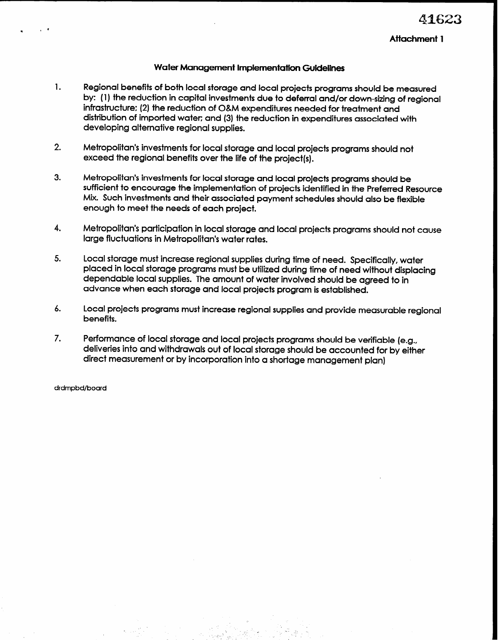## 4162.

#### Attachment 1

#### Water Management Implementation Guidelines

- 1. Regional benefits of both local storage and local projects programs should be measured by: (1) the reduction in capital investments due to deferral and/or down-sizing of regional infrastructure: (2) the reduction of O&M expenditures needed for treatment and distribution of imported water; and (3) the reduction in expenditures associated with developing alternative regional supplies.
- 2. Metropolitan's investments for local storage and local projects programs should not exceed the regional benefits over the life of the project(s).
- 3. Metropolitan's investments for local storage and local projects programs should be sufficient to encourage the implementation of projects identified in the Preferred Resource Mix. Such investments and their associated payment schedules should also be flexible enough to meet the needs of each project.
- 4. Metropolitan's participation in local storage and local projects programs should not cause large fluctuations in Metropolitan's water rates.
- 5. Local storage must increase regional supplies during time of need. Specifically, water placed in local storage programs must be utilized during time of need without displacing dependable local supplies. The amount of water involved should be agreed to in advance when each storage and local projects program is established.
- 6. Local projects programs must increase regional supplies and provide measurable regional benefits.

L

. .

7. Performance of local storage and local projects programs should be verifiable (e.g., deliveries into and withdrawals out of local storage should be accounted for by either direct measurement or by incorporation into a shortage management plan)

drdmpbd/board

<sup>l</sup>t '